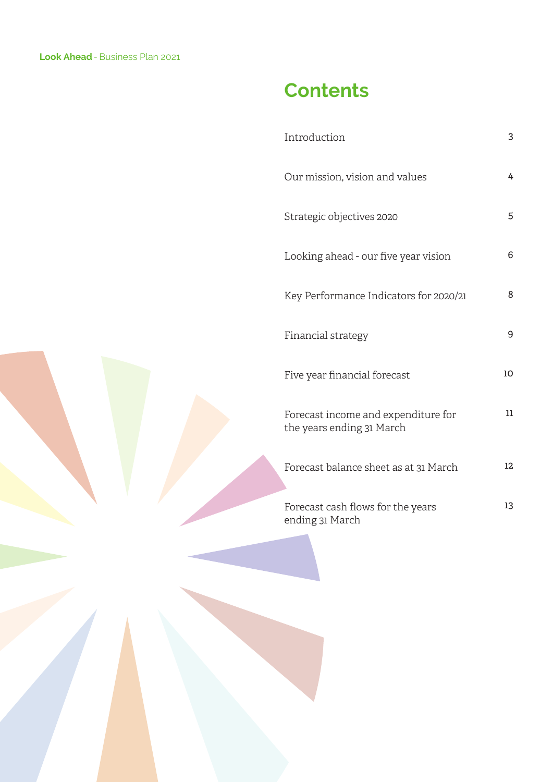## **Contents**

| Introduction                                                     | 3      |
|------------------------------------------------------------------|--------|
| Our mission, vision and values                                   | 4      |
| Strategic objectives 2020                                        | 5      |
| Looking ahead - our five year vision                             | 6      |
| Key Performance Indicators for 2020/21                           | 8      |
| Financial strategy                                               | 9      |
| Five year financial forecast                                     | 10     |
| Forecast income and expenditure for<br>the years ending 31 March | $11\,$ |
| Forecast balance sheet as at 31 March                            | 12     |
| Forecast cash flows for the years<br>ending 31 March             | 13     |
|                                                                  |        |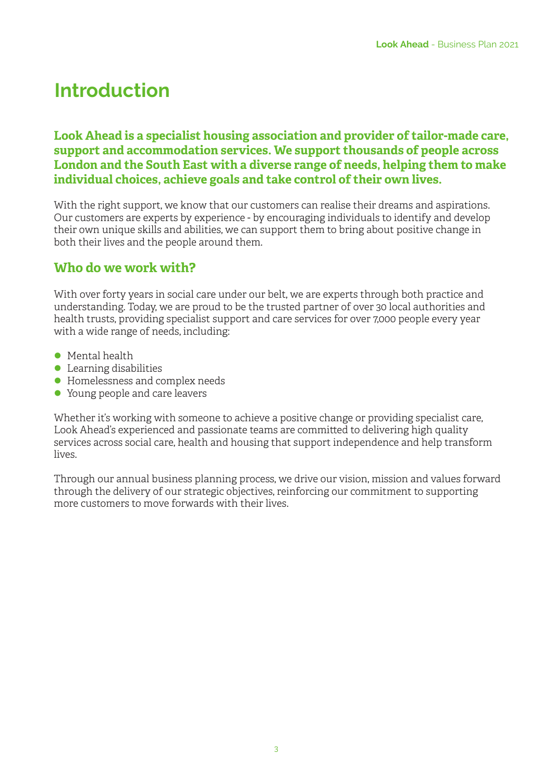# **Introduction**

#### **Look Ahead is a specialist housing association and provider of tailor-made care, support and accommodation services. We support thousands of people across London and the South East with a diverse range of needs, helping them to make individual choices, achieve goals and take control of their own lives.**

With the right support, we know that our customers can realise their dreams and aspirations. Our customers are experts by experience - by encouraging individuals to identify and develop their own unique skills and abilities, we can support them to bring about positive change in both their lives and the people around them.

### **Who do we work with?**

With over forty years in social care under our belt, we are experts through both practice and understanding. Today, we are proud to be the trusted partner of over 30 local authorities and health trusts, providing specialist support and care services for over 7,000 people every year with a wide range of needs, including:

- $\bullet$  Mental health
- $\bullet$  Learning disabilities
- l Homelessness and complex needs
- l Young people and care leavers

Whether it's working with someone to achieve a positive change or providing specialist care, Look Ahead's experienced and passionate teams are committed to delivering high quality services across social care, health and housing that support independence and help transform lives.

Through our annual business planning process, we drive our vision, mission and values forward through the delivery of our strategic objectives, reinforcing our commitment to supporting more customers to move forwards with their lives.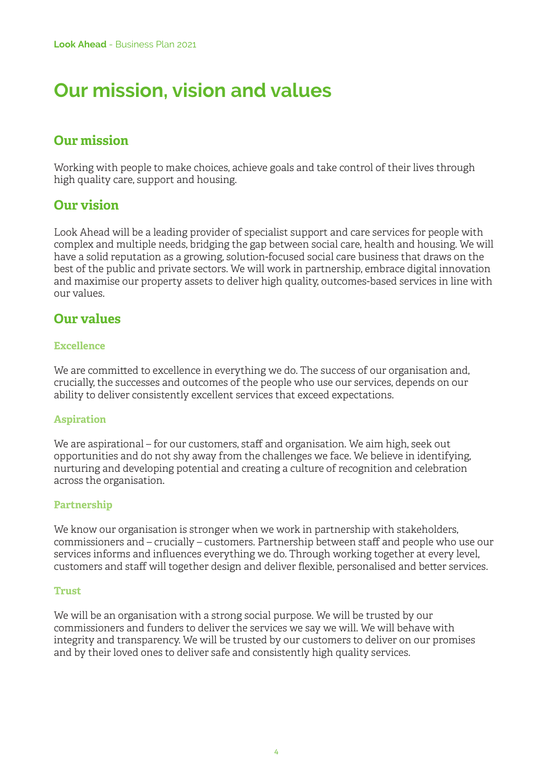## **Our mission, vision and values**

### **Our mission**

Working with people to make choices, achieve goals and take control of their lives through high quality care, support and housing.

### **Our vision**

Look Ahead will be a leading provider of specialist support and care services for people with complex and multiple needs, bridging the gap between social care, health and housing. We will have a solid reputation as a growing, solution-focused social care business that draws on the best of the public and private sectors. We will work in partnership, embrace digital innovation and maximise our property assets to deliver high quality, outcomes-based services in line with our values.

### **Our values**

#### **Excellence**

We are committed to excellence in everything we do. The success of our organisation and, crucially, the successes and outcomes of the people who use our services, depends on our ability to deliver consistently excellent services that exceed expectations.

#### **Aspiration**

We are aspirational – for our customers, staff and organisation. We aim high, seek out opportunities and do not shy away from the challenges we face. We believe in identifying, nurturing and developing potential and creating a culture of recognition and celebration across the organisation.

#### **Partnership**

We know our organisation is stronger when we work in partnership with stakeholders, commissioners and – crucially – customers. Partnership between staff and people who use our services informs and influences everything we do. Through working together at every level, customers and staff will together design and deliver flexible, personalised and better services.

#### **Trust**

We will be an organisation with a strong social purpose. We will be trusted by our commissioners and funders to deliver the services we say we will. We will behave with integrity and transparency. We will be trusted by our customers to deliver on our promises and by their loved ones to deliver safe and consistently high quality services.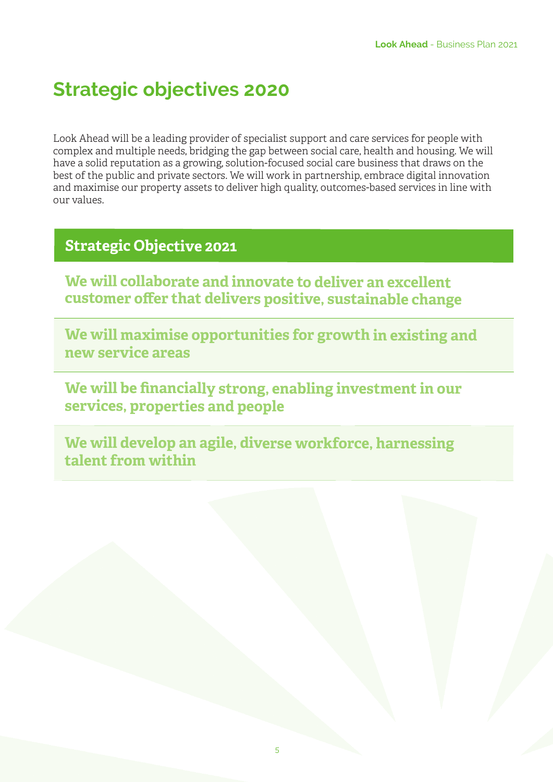### **Strategic objectives 2020**

Look Ahead will be a leading provider of specialist support and care services for people with complex and multiple needs, bridging the gap between social care, health and housing. We will have a solid reputation as a growing, solution-focused social care business that draws on the best of the public and private sectors. We will work in partnership, embrace digital innovation and maximise our property assets to deliver high quality, outcomes-based services in line with our values.

### **Strategic Objective <sup>202</sup><sup>1</sup>**

**We will collaborate and innovate to deliver an excellent customer offer that delivers positive, sustainable change**

**We will maximise opportunities for growth in existing and new service areas**

**We will be financially strong, enabling investment in our services, properties and people** 

**We will develop an agile, diverse workforce, harnessing talent from within**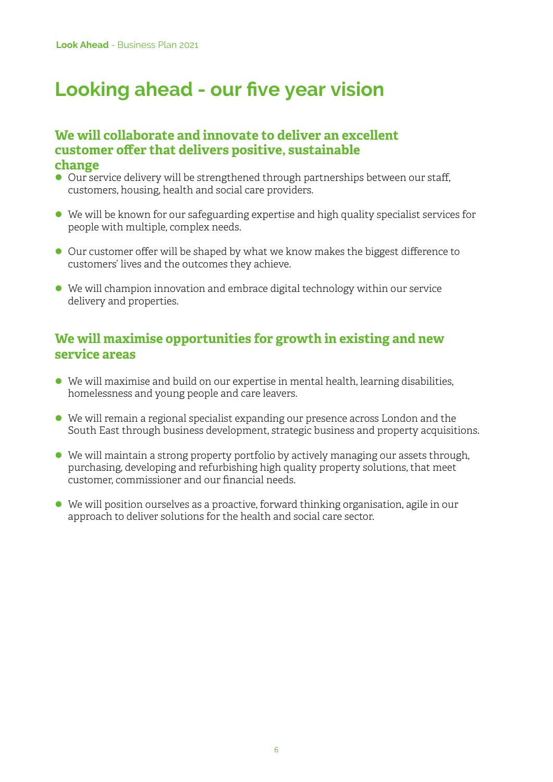## **Looking ahead - our five year vision**

#### **We will collaborate and innovate to deliver an excellent customer offer that delivers positive, sustainable change**

- Our service delivery will be strengthened through partnerships between our staff, customers, housing, health and social care providers.
- $\bullet$  We will be known for our safeguarding expertise and high quality specialist services for people with multiple, complex needs.
- l Our customer offer will be shaped by what we know makes the biggest difference to customers' lives and the outcomes they achieve.
- l We will champion innovation and embrace digital technology within our service delivery and properties.

### **We will maximise opportunities for growth in existing and new service areas**

- l We will maximise and build on our expertise in mental health, learning disabilities, homelessness and young people and care leavers.
- l We will remain a regional specialist expanding our presence across London and the South East through business development, strategic business and property acquisitions.
- $\bullet$  We will maintain a strong property portfolio by actively managing our assets through, purchasing, developing and refurbishing high quality property solutions, that meet customer, commissioner and our financial needs.
- l We will position ourselves as a proactive, forward thinking organisation, agile in our approach to deliver solutions for the health and social care sector.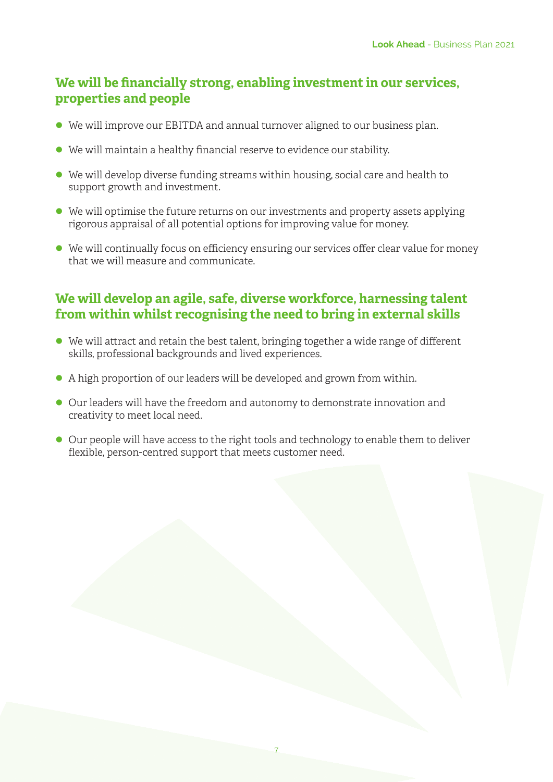### **We will be financially strong, enabling investment in our services, properties and people**

- We will improve our EBITDA and annual turnover aligned to our business plan.
- $\bullet$  We will maintain a healthy financial reserve to evidence our stability.
- $\bullet$  We will develop diverse funding streams within housing, social care and health to support growth and investment.
- $\bullet$  We will optimise the future returns on our investments and property assets applying rigorous appraisal of all potential options for improving value for money.
- $\bullet$  We will continually focus on efficiency ensuring our services offer clear value for money that we will measure and communicate.

### **We will develop an agile, safe, diverse workforce, harnessing talent from within whilst recognising the need to bring in external skills**

- $\bullet$  We will attract and retain the best talent, bringing together a wide range of different skills, professional backgrounds and lived experiences.
- l A high proportion of our leaders will be developed and grown from within.
- l Our leaders will have the freedom and autonomy to demonstrate innovation and creativity to meet local need.
- Our people will have access to the right tools and technology to enable them to deliver flexible, person-centred support that meets customer need.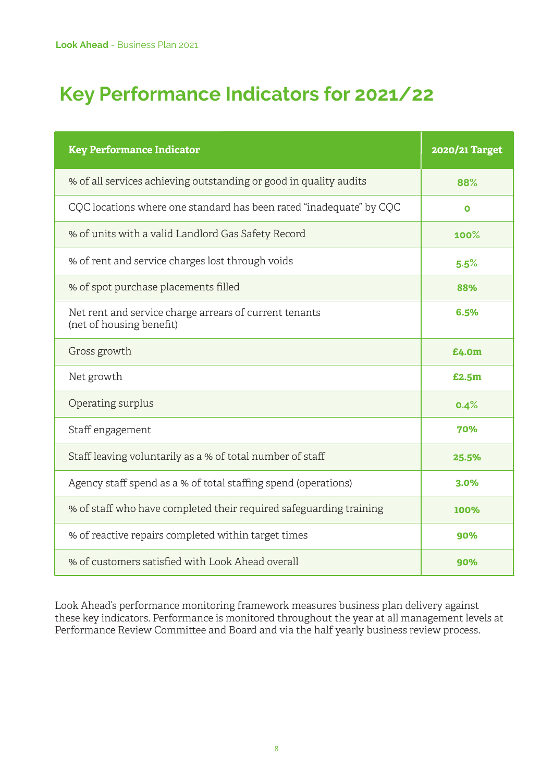# **Key Performance Indicators for 2021/22**

| <b>Key Performance Indicator</b>                                                   | 2020/21 Target |
|------------------------------------------------------------------------------------|----------------|
| % of all services achieving outstanding or good in quality audits                  | 88%            |
| CQC locations where one standard has been rated "inadequate" by CQC                | O              |
| % of units with a valid Landlord Gas Safety Record                                 | 100%           |
| % of rent and service charges lost through voids                                   | 5.5%           |
| % of spot purchase placements filled                                               | 88%            |
| Net rent and service charge arrears of current tenants<br>(net of housing benefit) | 6.5%           |
| Gross growth                                                                       | £4.0m          |
| Net growth                                                                         | £2.5m          |
| Operating surplus                                                                  | 0.4%           |
| Staff engagement                                                                   | 70%            |
| Staff leaving voluntarily as a % of total number of staff                          | 25.5%          |
| Agency staff spend as a % of total staffing spend (operations)                     | $3.0\%$        |
| % of staff who have completed their required safeguarding training                 | 100%           |
| % of reactive repairs completed within target times                                | 90%            |
| % of customers satisfied with Look Ahead overall                                   | 90%            |

Look Ahead's performance monitoring framework measures business plan delivery against these key indicators. Performance is monitored throughout the year at all management levels at Performance Review Committee and Board and via the half yearly business review process.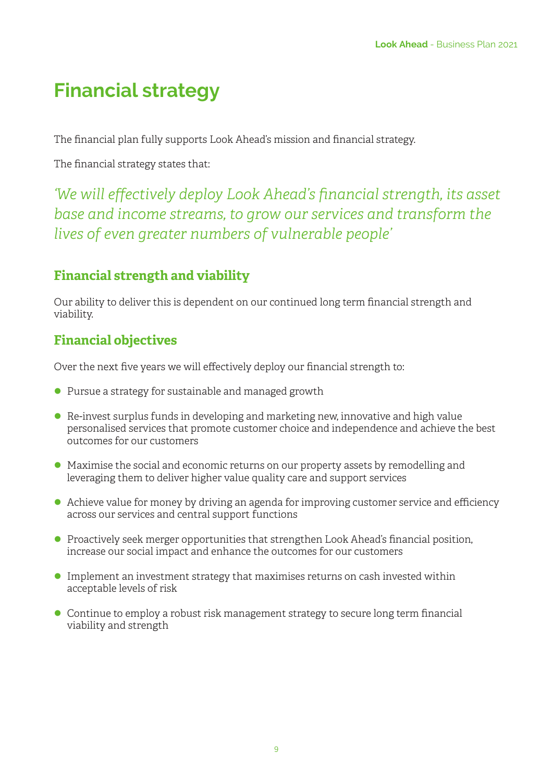# **Financial strategy**

The financial plan fully supports Look Ahead's mission and financial strategy.

The financial strategy states that:

*'We will effectively deploy Look Ahead's financial strength, its asset base and income streams, to grow our services and transform the lives of even greater numbers of vulnerable people'*

### **Financial strength and viability**

Our ability to deliver this is dependent on our continued long term financial strength and viability.

### **Financial objectives**

Over the next five years we will effectively deploy our financial strength to:

- l Pursue a strategy for sustainable and managed growth
- $\bullet$  Re-invest surplus funds in developing and marketing new, innovative and high value personalised services that promote customer choice and independence and achieve the best outcomes for our customers
- l Maximise the social and economic returns on our property assets by remodelling and leveraging them to deliver higher value quality care and support services
- Achieve value for money by driving an agenda for improving customer service and efficiency across our services and central support functions
- **Proactively seek merger opportunities that strengthen Look Ahead's financial position,** increase our social impact and enhance the outcomes for our customers
- **Implement an investment strategy that maximises returns on cash invested within** acceptable levels of risk
- **•** Continue to employ a robust risk management strategy to secure long term financial viability and strength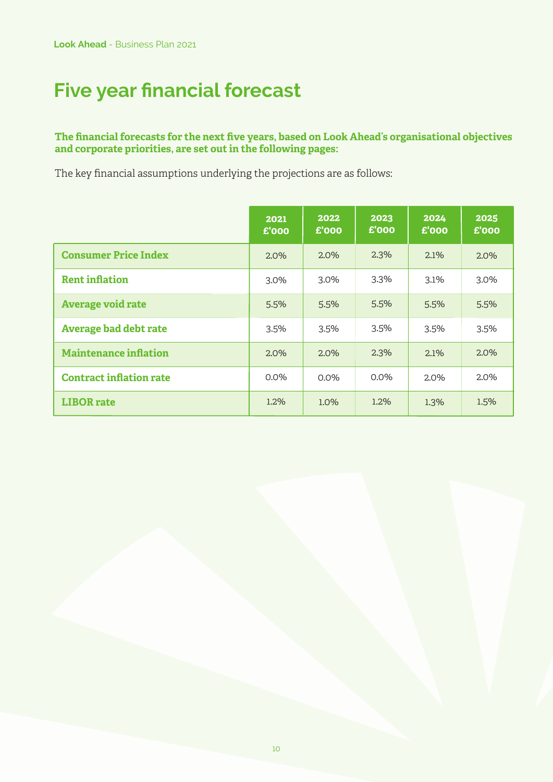# **Five year financial forecast**

#### **The financial forecasts for the next five years, based on Look Ahead's organisational objectives and corporate priorities, are set out in the following pages:**

The key financial assumptions underlying the projections are as follows:

|                                | 2021<br>£'000 | 2022<br>£'000 | 2023<br>$E'$ 000 | 2024<br>$E'$ 000 | 2025<br>£'000 |
|--------------------------------|---------------|---------------|------------------|------------------|---------------|
| <b>Consumer Price Index</b>    | 2.0%          | 2.0%          | 2.3%             | 2.1%             | 2.0%          |
| <b>Rent inflation</b>          | 3.0%          | 3.0%          | 3.3%             | 3.1%             | 3.0%          |
| <b>Average void rate</b>       | 5.5%          | 5.5%          | 5.5%             | 5.5%             | 5.5%          |
| <b>Average bad debt rate</b>   | 3.5%          | 3.5%          | 3.5%             | 3.5%             | 3.5%          |
| <b>Maintenance inflation</b>   | 2.0%          | 2.0%          | 2.3%             | 2.1%             | 2.0%          |
| <b>Contract inflation rate</b> | $0.0\%$       | $0.0\%$       | $0.0\%$          | 2.0%             | 2.0%          |
| <b>LIBOR</b> rate              | 1.2%          | 1.0%          | 1.2%             | 1.3%             | 1.5%          |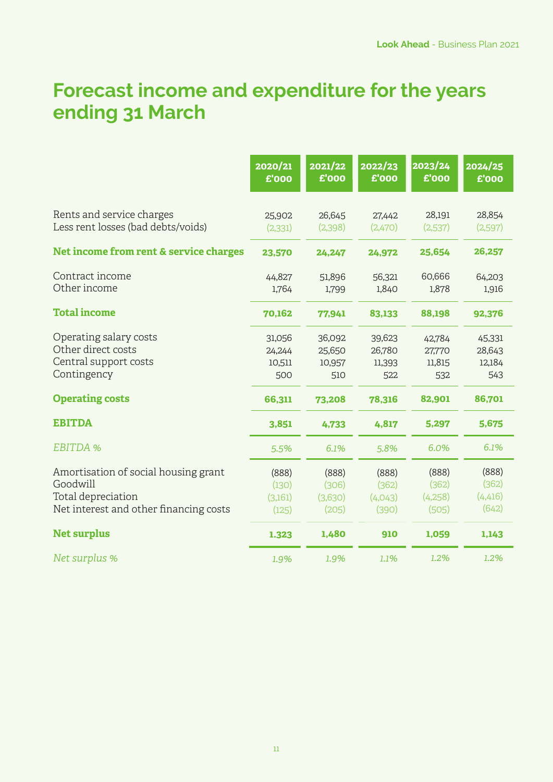## **Forecast income and expenditure for the years ending 31 March**

|                                                                                                                  | 2020/21<br>£'000                   | 2021/22<br>£'000                   | 2022/23<br>£'000                   | 2023/24<br>£'000                   | $\frac{1}{2024}/25$<br>£'000       |
|------------------------------------------------------------------------------------------------------------------|------------------------------------|------------------------------------|------------------------------------|------------------------------------|------------------------------------|
| Rents and service charges<br>Less rent losses (bad debts/voids)                                                  | 25,902<br>(2, 331)                 | 26,645<br>(2,398)                  | 27,442<br>(2,470)                  | 28,191<br>(2,537)                  | 28,854<br>(2,597)                  |
| Net income from rent & service charges                                                                           | 23,570                             | 24,247                             | 24,972                             | 25,654                             | 26,257                             |
| Contract income<br>Other income                                                                                  | 44,827<br>1,764                    | 51,896<br>1,799                    | 56,321<br>1,840                    | 60,666<br>1,878                    | 64,203<br>1,916                    |
| <b>Total income</b>                                                                                              | 70,162                             | 77,941                             | 83,133                             | 88,198                             | 92,376                             |
| Operating salary costs<br>Other direct costs<br>Central support costs<br>Contingency                             | 31,056<br>24,244<br>10,511<br>500  | 36,092<br>25,650<br>10,957<br>510  | 39,623<br>26,780<br>11,393<br>522  | 42,784<br>27,770<br>11,815<br>532  | 45,331<br>28,643<br>12,184<br>543  |
| <b>Operating costs</b>                                                                                           | 66,311                             | 73,208                             | 78,316                             | 82,901                             | 86,701                             |
| <b>EBITDA</b>                                                                                                    | 3,851                              | 4,733                              | 4,817                              | 5,297                              | 5,675                              |
| EBITDA %                                                                                                         | 5.5%                               | 6.1%                               | 5.8%                               | 6.0%                               | 6.1%                               |
| Amortisation of social housing grant<br>Goodwill<br>Total depreciation<br>Net interest and other financing costs | (888)<br>(130)<br>(3,161)<br>(125) | (888)<br>(306)<br>(3,630)<br>(205) | (888)<br>(362)<br>(4,043)<br>(390) | (888)<br>(362)<br>(4,258)<br>(505) | (888)<br>(362)<br>(4,416)<br>(642) |
| <b>Net surplus</b>                                                                                               | 1.323                              | 1,480                              | 910                                | 1,059                              | 1,143                              |
| Net surplus %                                                                                                    | 1.9%                               | 1.9%                               | 1.1%                               | 1.2%                               | 1.2%                               |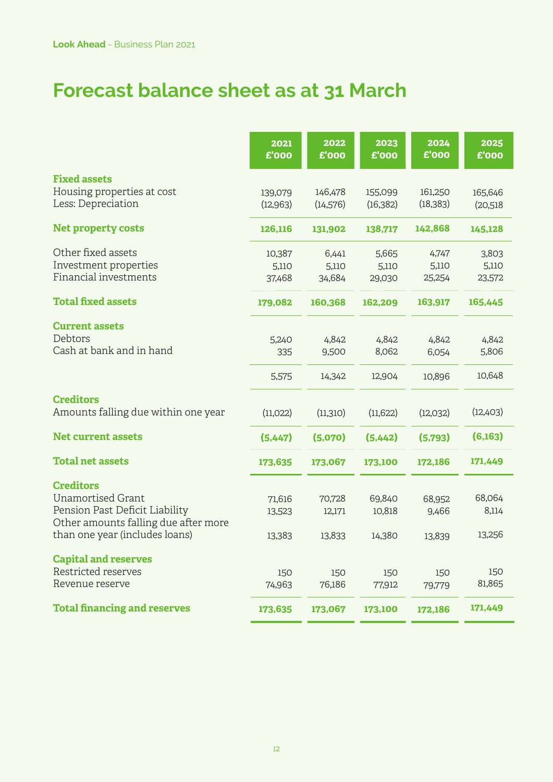## **Forecast balance sheet as at 31 March**

|                                                  | 2021<br>£'000        | 2022<br>£'000        | 2023<br>£'000        | 2024<br>£'000        | 2025<br>£'000       |
|--------------------------------------------------|----------------------|----------------------|----------------------|----------------------|---------------------|
| <b>Fixed assets</b>                              |                      |                      |                      |                      |                     |
| Housing properties at cost<br>Less: Depreciation | 139,079<br>(12, 963) | 146,478<br>(14, 576) | 155,099<br>(16, 382) | 161,250<br>(18, 383) | 165,646<br>(20,518) |
| <b>Net property costs</b>                        | 126,116              | 131,902              | 138,717              | 142,868              | 145,128             |
| Other fixed assets                               | 10,387               | 6,441                | 5,665                | 4,747                | 3,803               |
| Investment properties                            | 5,110                | 5,110                | 5,110                | 5,110                | 5,110               |
| Financial investments                            | 37,468               | 34,684               | 29,030               | 25,254               | 23,572              |
| <b>Total fixed assets</b>                        | 179,082              | 160,368              | 162,209              | 163,917              | 165,445             |
| <b>Current assets</b>                            |                      |                      |                      |                      |                     |
| Debtors                                          | 5,240                | 4,842                | 4,842                | 4,842                | 4,842               |
| Cash at bank and in hand                         | 335                  | 9,500                | 8,062                | 6,054                | 5,806               |
|                                                  | 5,575                | 14,342               | 12,904               | 10,896               | 10,648              |
| <b>Creditors</b>                                 |                      |                      |                      |                      |                     |
| Amounts falling due within one year              | (11,022)             | (11,310)             | (11, 622)            | (12,032)             | (12,403)            |
| <b>Net current assets</b>                        | (5,447)              | (5,070)              | (5,442)              | (5,793)              | (6,163)             |
| <b>Total net assets</b>                          | 173,635              | 173,067              | 173,100              | 172,186              | 171,449             |
| <b>Creditors</b>                                 |                      |                      |                      |                      |                     |
| <b>Unamortised Grant</b>                         | 71,616               | 70,728               | 69,840               | 68,952               | 68,064              |
| Pension Past Deficit Liability                   | 13,523               | 12,171               | 10,818               | 9,466                | 8,114               |
| Other amounts falling due after more             |                      |                      |                      |                      |                     |
| than one year (includes loans)                   | 13,383               | 13,833               | 14,380               | 13,839               | 13,256              |
| <b>Capital and reserves</b>                      |                      |                      |                      |                      |                     |
| Restricted reserves                              | 150                  | 150                  | 150                  | 150                  | 150                 |
| Revenue reserve                                  | 74,963               | 76,186               | 77,912               | 79,779               | 81,865              |
| <b>Total financing and reserves</b>              | 173,635              | 173,067              | 173,100              | 172,186              | 171,449             |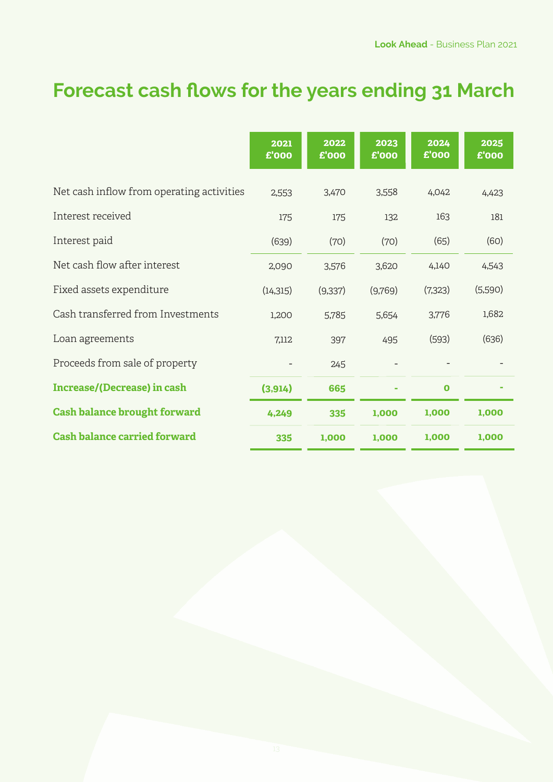# **Forecast cash flows for the years ending 31 March**

|                                           | 2021<br>£'000 | 2022<br>£'000 | 2023<br>£'000 | 2024<br>£'000 | 2025<br>£'000 |
|-------------------------------------------|---------------|---------------|---------------|---------------|---------------|
| Net cash inflow from operating activities | 2,553         | 3,470         | 3,558         | 4,042         | 4,423         |
| Interest received                         | 175           | 175           | 132           | 163           | 181           |
| Interest paid                             | (639)         | (70)          | (70)          | (65)          | (60)          |
| Net cash flow after interest              | 2,090         | 3,576         | 3,620         | 4,140         | 4,543         |
| Fixed assets expenditure                  | (14, 315)     | (9,337)       | (9,769)       | (7,323)       | (5,590)       |
| Cash transferred from Investments         | 1,200         | 5,785         | 5,654         | 3,776         | 1,682         |
| Loan agreements                           | 7,112         | 397           | 495           | (593)         | (636)         |
| Proceeds from sale of property            |               | 245           |               |               |               |
| <b>Increase/(Decrease) in cash</b>        | (3, 914)      | 665           |               | $\mathbf 0$   |               |
| <b>Cash balance brought forward</b>       | 4,249         | 335           | 1,000         | 1,000         | 1,000         |
| <b>Cash balance carried forward</b>       | 335           | 1,000         | 1,000         | 1,000         | 1,000         |